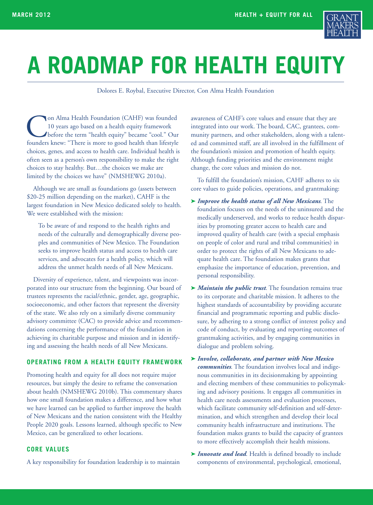

# **A ROADMAP FOR HEALTH EQUITY**

Dolores E. Roybal, Executive Director, Con Alma Health Foundation

On Alma Health Foundation (CAHF) was founded<br>10 years ago based on a health equity framework<br>before the term "health equity" became "cool." Ou<br>founders knew: "There is more to good health than lifestyle 10 years ago based on a health equity framework before the term "health equity" became "cool." Our founders knew: "There is more to good health than lifestyle choices, genes, and access to health care. Individual health is often seen as a person's own responsibility to make the right choices to stay healthy. But…the choices we make are limited by the choices we have" (NMSHEWG 2010a).

Although we are small as foundations go (assets between \$20-25 million depending on the market), CAHF is the largest foundation in New Mexico dedicated solely to health. We were established with the mission:

To be aware of and respond to the health rights and needs of the culturally and demographically diverse peoples and communities of New Mexico. The Foundation seeks to improve health status and access to health care services, and advocates for a health policy, which will address the unmet health needs of all New Mexicans.

Diversity of experience, talent, and viewpoints was incorporated into our structure from the beginning. Our board of trustees represents the racial/ethnic, gender, age, geographic, socioeconomic, and other factors that represent the diversity of the state. We also rely on a similarly diverse community advisory committee (CAC) to provide advice and recommendations concerning the performance of the foundation in achieving its charitable purpose and mission and in identifying and assessing the health needs of all New Mexicans.

## **OPERATING FROM A HEALTH EQUITY FRAMEWORK**

Promoting health and equity for all does not require major resources, but simply the desire to reframe the conversation about health (NMSHEWG 2010b). This commentary shares how one small foundation makes a difference, and how what we have learned can be applied to further improve the health of New Mexicans and the nation consistent with the Healthy People 2020 goals. Lessons learned, although specific to New Mexico, can be generalized to other locations.

## **CORE VALUES**

A key responsibility for foundation leadership is to maintain

awareness of CAHF's core values and ensure that they are integrated into our work. The board, CAC, grantees, community partners, and other stakeholders, along with a talented and committed staff, are all involved in the fulfillment of the foundation's mission and promotion of health equity. Although funding priorities and the environment might change, the core values and mission do not.

To fulfill the foundation's mission, CAHF adheres to six core values to guide policies, operations, and grantmaking:

- **➤** *Improve the health status of all New Mexicans*. The foundation focuses on the needs of the uninsured and the medically underserved, and works to reduce health disparities by promoting greater access to health care and improved quality of health care (with a special emphasis on people of color and rural and tribal communities) in order to protect the rights of all New Mexicans to adequate health care. The foundation makes grants that emphasize the importance of education, prevention, and personal responsibility.
- **➤** *Maintain the public trust*. The foundation remains true to its corporate and charitable mission. It adheres to the highest standards of accountability by providing accurate financial and programmatic reporting and public disclosure, by adhering to a strong conflict of interest policy and code of conduct, by evaluating and reporting outcomes of grantmaking activities, and by engaging communities in dialogue and problem solving.
- **➤** *Involve, collaborate, and partner with New Mexico communities*. The foundation involves local and indigenous communities in its decisionmaking by appointing and electing members of these communities to policymaking and advisory positions. It engages all communities in health care needs assessments and evaluation processes, which facilitate community self-definition and self-determination, and which strengthen and develop their local community health infrastructure and institutions. The foundation makes grants to build the capacity of grantees to more effectively accomplish their health missions.
- **➤** *Innovate and lead*. Health is defined broadly to include components of environmental, psychological, emotional,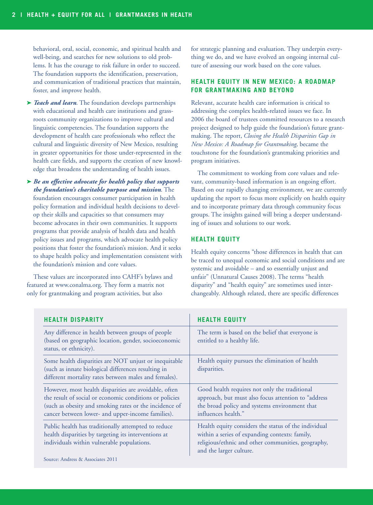behavioral, oral, social, economic, and spiritual health and well-being, and searches for new solutions to old problems. It has the courage to risk failure in order to succeed. The foundation supports the identification, preservation, and communication of traditional practices that maintain, foster, and improve health.

- **➤** *Teach and learn*. The foundation develops partnerships with educational and health care institutions and grassroots community organizations to improve cultural and linguistic competencies. The foundation supports the development of health care professionals who reflect the cultural and linguistic diversity of New Mexico, resulting in greater opportunities for those under-represented in the health care fields, and supports the creation of new knowledge that broadens the understanding of health issues.
- **➤** *Be an effective advocate for health policy that supports the foundation's charitable purpose and mission*. The foundation encourages consumer participation in health policy formation and individual health decisions to develop their skills and capacities so that consumers may become advocates in their own communities. It supports programs that provide analysis of health data and health policy issues and programs, which advocate health policy positions that foster the foundation's mission. And it seeks to shape health policy and implementation consistent with the foundation's mission and core values.

These values are incorporated into CAHF's bylaws and featured at www.conalma.org. They form a matrix not only for grantmaking and program activities, but also

for strategic planning and evaluation. They underpin everything we do, and we have evolved an ongoing internal culture of assessing our work based on the core values.

## **HEALTH EQUITY IN NEW MEXICO: A ROADMAP FOR GRANTMAKING AND BEYOND**

Relevant, accurate health care information is critical to addressing the complex health-related issues we face. In 2006 the board of trustees committed resources to a research project designed to help guide the foundation's future grantmaking. The report, *Closing the Health Disparities Gap in New Mexico: A Roadmap for Grantmaking*, became the touchstone for the foundation's grantmaking priorities and program initiatives.

The commitment to working from core values and relevant, community-based information is an ongoing effort. Based on our rapidly changing environment, we are currently updating the report to focus more explicitly on health equity and to incorporate primary data through community focus groups. The insights gained will bring a deeper understanding of issues and solutions to our work.

#### **HEALTH EQUITY**

Health equity concerns "those differences in health that can be traced to unequal economic and social conditions and are systemic and avoidable – and so essentially unjust and unfair" (Unnatural Causes 2008). The terms "health disparity" and "health equity" are sometimes used interchangeably. Although related, there are specific differences

| <b>HEALTH DISPARITY</b>                                                                                                                                                                                                         | <b>HEALTH EQUITY</b>                                                                                                                                                                    |
|---------------------------------------------------------------------------------------------------------------------------------------------------------------------------------------------------------------------------------|-----------------------------------------------------------------------------------------------------------------------------------------------------------------------------------------|
| Any difference in health between groups of people<br>(based on geographic location, gender, socioeconomic<br>status, or ethnicity).                                                                                             | The term is based on the belief that everyone is<br>entitled to a healthy life.                                                                                                         |
| Some health disparities are NOT unjust or inequitable<br>(such as innate biological differences resulting in<br>different mortality rates between males and females).                                                           | Health equity pursues the elimination of health<br>disparities.                                                                                                                         |
| However, most health disparities are avoidable, often<br>the result of social or economic conditions or policies<br>(such as obesity and smoking rates or the incidence of<br>cancer between lower- and upper-income families). | Good health requires not only the traditional<br>approach, but must also focus attention to "address<br>the broad policy and systems environment that<br>influences health."            |
| Public health has traditionally attempted to reduce<br>health disparities by targeting its interventions at<br>individuals within vulnerable populations.                                                                       | Health equity considers the status of the individual<br>within a series of expanding contexts: family,<br>religious/ethnic and other communities, geography,<br>and the larger culture. |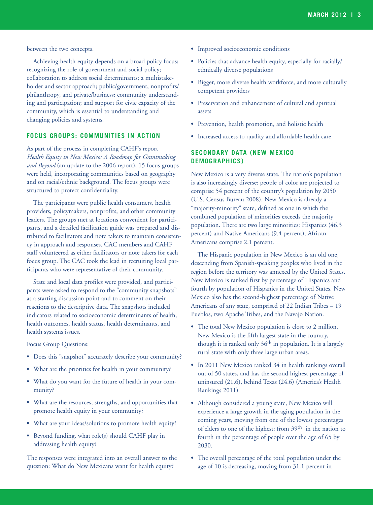between the two concepts.

Achieving health equity depends on a broad policy focus; recognizing the role of government and social policy; collaboration to address social determinants; a multistakeholder and sector approach; public/government, nonprofits/ philanthropy, and private/business; community understanding and participation; and support for civic capacity of the community, which is essential to understanding and changing policies and systems.

#### **FOCUS GROUPS: COMMUNITIES IN ACTION**

As part of the process in completing CAHF's report *Health Equity in New Mexico: A Roadmap for Grantmaking and Beyond* (an update to the 2006 report), 15 focus groups were held, incorporating communities based on geography and on racial/ethnic background. The focus groups were structured to protect confidentiality.

The participants were public health consumers, health providers, policymakers, nonprofits, and other community leaders. The groups met at locations convenient for participants, and a detailed facilitation guide was prepared and distributed to facilitators and note takers to maintain consistency in approach and responses. CAC members and CAHF staff volunteered as either facilitators or note takers for each focus group. The CAC took the lead in recruiting local participants who were representative of their community.

State and local data profiles were provided, and participants were asked to respond to the "community snapshots" as a starting discussion point and to comment on their reactions to the descriptive data. The snapshots included indicators related to socioeconomic determinants of health, health outcomes, health status, health determinants, and health systems issues.

Focus Group Questions:

- **•** Does this "snapshot" accurately describe your community?
- **•** What are the priorities for health in your community?
- **•** What do you want for the future of health in your community?
- **•** What are the resources, strengths, and opportunities that promote health equity in your community?
- **•** What are your ideas/solutions to promote health equity?
- **•** Beyond funding, what role(s) should CAHF play in addressing health equity?

The responses were integrated into an overall answer to the question: What do New Mexicans want for health equity?

- **•** Improved socioeconomic conditions
- **•** Policies that advance health equity, especially for racially/ ethnically diverse populations
- **•** Bigger, more diverse health workforce, and more culturally competent providers
- **•** Preservation and enhancement of cultural and spiritual assets
- **•** Prevention, health promotion, and holistic health
- **•** Increased access to quality and affordable health care

## **SECONDARY DATA (NEW MEXICO DEMOGRAPHICS)**

New Mexico is a very diverse state. The nation's population is also increasingly diverse: people of color are projected to comprise 54 percent of the country's population by 2050 (U.S. Census Bureau 2008). New Mexico is already a "majority-minority" state, defined as one in which the combined population of minorities exceeds the majority population. There are two large minorities: Hispanics (46.3 percent) and Native Americans (9.4 percent); African Americans comprise 2.1 percent.

The Hispanic population in New Mexico is an old one, descending from Spanish-speaking peoples who lived in the region before the territory was annexed by the United States. New Mexico is ranked first by percentage of Hispanics and fourth by population of Hispanics in the United States. New Mexico also has the second-highest percentage of Native Americans of any state, comprised of 22 Indian Tribes – 19 Pueblos, two Apache Tribes, and the Navajo Nation.

- **•** The total New Mexico population is close to 2 million. New Mexico is the fifth largest state in the country, though it is ranked only 36<sup>th</sup> in population. It is a largely rural state with only three large urban areas.
- **•** In 2011 New Mexico ranked 34 in health rankings overall out of 50 states, and has the second highest percentage of uninsured (21.6), behind Texas (24.6) (America's Health Rankings 2011).
- **•** Although considered a young state, New Mexico will experience a large growth in the aging population in the coming years, moving from one of the lowest percentages of elders to one of the highest: from 39th in the nation to fourth in the percentage of people over the age of 65 by 2030.
- **•** The overall percentage of the total population under the age of 10 is decreasing, moving from 31.1 percent in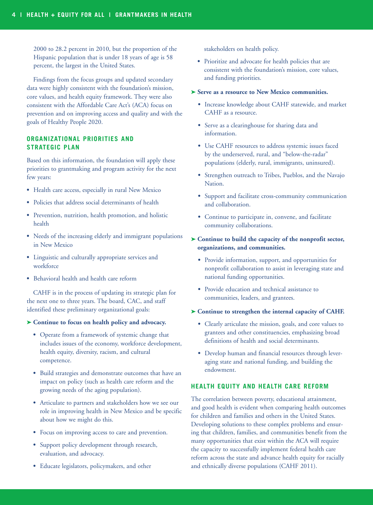2000 to 28.2 percent in 2010, but the proportion of the Hispanic population that is under 18 years of age is 58 percent, the largest in the United States.

Findings from the focus groups and updated secondary data were highly consistent with the foundation's mission, core values, and health equity framework. They were also consistent with the Affordable Care Act's (ACA) focus on prevention and on improving access and quality and with the goals of Healthy People 2020.

# **ORGANIZATIONAL PRIORITIES AND STRATEGIC PLAN**

Based on this information, the foundation will apply these priorities to grantmaking and program activity for the next few years:

- **•** Health care access, especially in rural New Mexico
- **•** Policies that address social determinants of health
- **•** Prevention, nutrition, health promotion, and holistic health
- **•** Needs of the increasing elderly and immigrant populations in New Mexico
- **•** Linguistic and culturally appropriate services and workforce
- **•** Behavioral health and health care reform

CAHF is in the process of updating its strategic plan for the next one to three years. The board, CAC, and staff identified these preliminary organizational goals:

#### **➤ Continue to focus on health policy and advocacy.**

- **•** Operate from a framework of systemic change that includes issues of the economy, workforce development, health equity, diversity, racism, and cultural competence.
- **•** Build strategies and demonstrate outcomes that have an impact on policy (such as health care reform and the growing needs of the aging population).
- **•** Articulate to partners and stakeholders how we see our role in improving health in New Mexico and be specific about how we might do this.
- **•** Focus on improving access to care and prevention.
- **•** Support policy development through research, evaluation, and advocacy.
- **•** Educate legislators, policymakers, and other

stakeholders on health policy.

**•** Prioritize and advocate for health policies that are consistent with the foundation's mission, core values, and funding priorities.

#### **➤ Serve as a resource to New Mexico communities.**

- **•** Increase knowledge about CAHF statewide, and market CAHF as a resource.
- **•** Serve as a clearinghouse for sharing data and information.
- **•** Use CAHF resources to address systemic issues faced by the underserved, rural, and "below-the-radar" populations (elderly, rural, immigrants, uninsured).
- **•** Strengthen outreach to Tribes, Pueblos, and the Navajo Nation.
- **•** Support and facilitate cross-community communication and collaboration.
- **•** Continue to participate in, convene, and facilitate community collaborations.
- **➤ Continue to build the capacity of the nonprofit sector, organizations, and communities.**
	- **•** Provide information, support, and opportunities for nonprofit collaboration to assist in leveraging state and national funding opportunities.
	- **•** Provide education and technical assistance to communities, leaders, and grantees.
- **➤ Continue to strengthen the internal capacity of CAHF.**
	- **•** Clearly articulate the mission, goals, and core values to grantees and other constituencies, emphasizing broad definitions of health and social determinants.
	- **•** Develop human and financial resources through leveraging state and national funding, and building the endowment.

# **HEALTH EQUITY AND HEALTH CARE REFORM**

The correlation between poverty, educational attainment, and good health is evident when comparing health outcomes for children and families and others in the United States. Developing solutions to these complex problems and ensuring that children, families, and communities benefit from the many opportunities that exist within the ACA will require the capacity to successfully implement federal health care reform across the state and advance health equity for racially and ethnically diverse populations (CAHF 2011).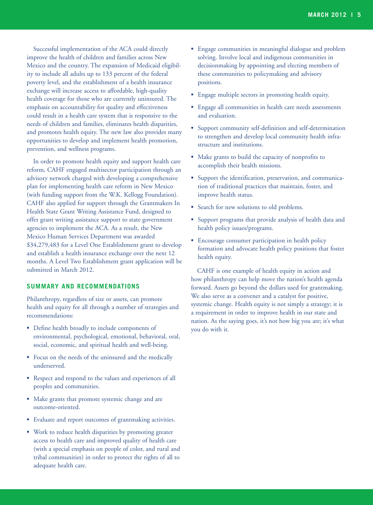Successful implementation of the ACA could directly improve the health of children and families across New Mexico and the country. The expansion of Medicaid eligibility to include all adults up to 133 percent of the federal poverty level, and the establishment of a health insurance exchange will increase access to affordable, high-quality health coverage for those who are currently uninsured. The emphasis on accountability for quality and effectiveness could result in a health care system that is responsive to the needs of children and families, eliminates health disparities, and promotes health equity. The new law also provides many opportunities to develop and implement health promotion, prevention, and wellness programs.

In order to promote health equity and support health care reform, CAHF engaged multisector participation through an advisory network charged with developing a comprehensive plan for implementing health care reform in New Mexico (with funding support from the W.K. Kellogg Foundation). CAHF also applied for support through the Grantmakers In Health State Grant Writing Assistance Fund, designed to offer grant writing assistance support to state government agencies to implement the ACA. As a result, the New Mexico Human Services Department was awarded \$34,279,483 for a Level One Establishment grant to develop and establish a health insurance exchange over the next 12 months. A Level Two Establishment grant application will be submitted in March 2012.

#### **SUMMARY AND RECOMMENDATIONS**

Philanthropy, regardless of size or assets, can promote health and equity for all through a number of strategies and recommendations:

- **•** Define health broadly to include components of environmental, psychological, emotional, behavioral, oral, social, economic, and spiritual health and well-being.
- **•** Focus on the needs of the uninsured and the medically underserved.
- **•** Respect and respond to the values and experiences of all peoples and communities.
- **•** Make grants that promote systemic change and are outcome-oriented.
- **•** Evaluate and report outcomes of grantmaking activities.
- **•** Work to reduce health disparities by promoting greater access to health care and improved quality of health care (with a special emphasis on people of color, and rural and tribal communities) in order to protect the rights of all to adequate health care.
- **•** Engage communities in meaningful dialogue and problem solving. Involve local and indigenous communities in decisionmaking by appointing and electing members of these communities to policymaking and advisory positions.
- **•** Engage multiple sectors in promoting health equity.
- **•** Engage all communities in health care needs assessments and evaluation.
- **•** Support community self-definition and self-determination to strengthen and develop local community health infrastructure and institutions.
- **•** Make grants to build the capacity of nonprofits to accomplish their health missions.
- **•** Support the identification, preservation, and communication of traditional practices that maintain, foster, and improve health status.
- **•** Search for new solutions to old problems.
- **•** Support programs that provide analysis of health data and health policy issues/programs.
- **•** Encourage consumer participation in health policy formation and advocate health policy positions that foster health equity.

CAHF is one example of health equity in action and how philanthropy can help move the nation's health agenda forward. Assets go beyond the dollars used for grantmaking. We also serve as a convener and a catalyst for positive, systemic change. Health equity is not simply a strategy; it is a requirement in order to improve health in our state and nation. As the saying goes, it's not how big you are; it's what you do with it.